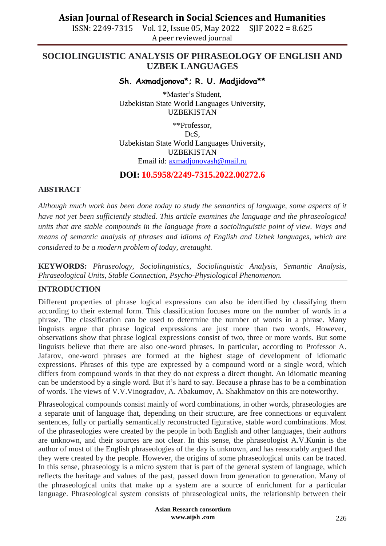ISSN: 2249-7315 Vol. 12, Issue 05, May 2022 SJIF 2022 = 8.625 A peer reviewed journal

## **SOCIOLINGUISTIC ANALYSIS OF PHRASEOLOGY OF ENGLISH AND UZBEK LANGUAGES**

### **Sh. Axmadjonova\*; R. U. Madjidova\*\***

**\***Master's Student, Uzbekistan State World Languages University, UZBEKISTAN

\*\*Professor, DcS, Uzbekistan State World Languages University, UZBEKISTAN Email id: [axmadjonovash@mail.ru](mailto:axmadjonovash@mail.ru)

### **DOI: 10.5958/2249-7315.2022.00272.6**

### **ABSTRACT**

*Although much work has been done today to study the semantics of language, some aspects of it have not yet been sufficiently studied. This article examines the language and the phraseological units that are stable compounds in the language from a sociolinguistic point of view. Ways and means of semantic analysis of phrases and idioms of English and Uzbek languages, which are considered to be a modern problem of today, aretaught.*

**KEYWORDS:** *Phraseology, Sociolinguistics, Sociolinguistic Analysis, Semantic Analysis, Phraseological Units, Stable Connection, Psycho-Physiological Phenomenon.*

#### **INTRODUCTION**

Different properties of phrase logical expressions can also be identified by classifying them according to their external form. This classification focuses more on the number of words in a phrase. The classification can be used to determine the number of words in a phrase. Many linguists argue that phrase logical expressions are just more than two words. However, observations show that phrase logical expressions consist of two, three or more words. But some linguists believe that there are also one-word phrases. In particular, according to Professor A. Jafarov, one-word phrases are formed at the highest stage of development of idiomatic expressions. Phrases of this type are expressed by a compound word or a single word, which differs from compound words in that they do not express a direct thought. An idiomatic meaning can be understood by a single word. But it's hard to say. Because a phrase has to be a combination of words. The views of V.V.Vinogradov, A. Abakumov, A. Shakhmatov on this are noteworthy.

Phraseological compounds consist mainly of word combinations, in other words, phraseologies are a separate unit of language that, depending on their structure, are free connections or equivalent sentences, fully or partially semantically reconstructed figurative, stable word combinations. Most of the phraseologies were created by the people in both English and other languages, their authors are unknown, and their sources are not clear. In this sense, the phraseologist A.V.Kunin is the author of most of the English phraseologies of the day is unknown, and has reasonably argued that they were created by the people. However, the origins of some phraseological units can be traced. In this sense, phraseology is a micro system that is part of the general system of language, which reflects the heritage and values of the past, passed down from generation to generation. Many of the phraseological units that make up a system are a source of enrichment for a particular language. Phraseological system consists of phraseological units, the relationship between their

> **Asian Research consortium www.aijsh .com**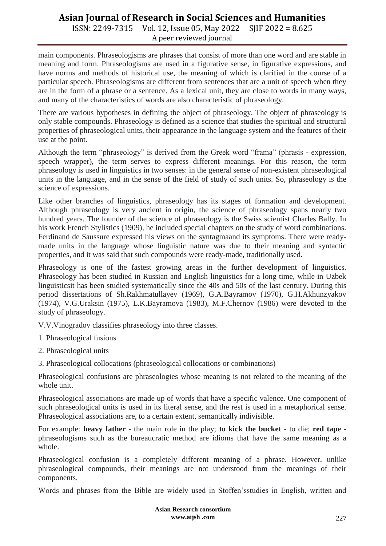ISSN: 2249-7315 Vol. 12, Issue 05, May 2022 SJIF 2022 = 8.625 A peer reviewed journal

main components. Phraseologisms are phrases that consist of more than one word and are stable in meaning and form. Phraseologisms are used in a figurative sense, in figurative expressions, and have norms and methods of historical use, the meaning of which is clarified in the course of a particular speech. Phraseologisms are different from sentences that are a unit of speech when they are in the form of a phrase or a sentence. As a lexical unit, they are close to words in many ways, and many of the characteristics of words are also characteristic of phraseology.

There are various hypotheses in defining the object of phraseology. The object of phraseology is only stable compounds. Phraseology is defined as a science that studies the spiritual and structural properties of phraseological units, their appearance in the language system and the features of their use at the point.

Although the term "phraseology" is derived from the Greek word "frama" (phrasis - expression, speech wrapper), the term serves to express different meanings. For this reason, the term phraseology is used in linguistics in two senses: in the general sense of non-existent phraseological units in the language, and in the sense of the field of study of such units. So, phraseology is the science of expressions.

Like other branches of linguistics, phraseology has its stages of formation and development. Although phraseology is very ancient in origin, the science of phraseology spans nearly two hundred years. The founder of the science of phraseology is the Swiss scientist Charles Bally. In his work French Stylistics (1909), he included special chapters on the study of word combinations. Ferdinand de Saussure expressed his views on the syntagmaand its symptoms. There were readymade units in the language whose linguistic nature was due to their meaning and syntactic properties, and it was said that such compounds were ready-made, traditionally used.

Phraseology is one of the fastest growing areas in the further development of linguistics. Phraseology has been studied in Russian and English linguistics for a long time, while in Uzbek linguisticsit has been studied systematically since the 40s and 50s of the last century. During this period dissertations of Sh.Rakhmatullayev (1969), G.A.Bayramov (1970), G.H.Akhunzyakov (1974), V.G.Uraksin (1975), L.K.Bayramova (1983), M.F.Chernov (1986) were devoted to the study of phraseology.

V.V.Vinogradov classifies phraseology into three classes.

1. Phraseological fusions

2. Phraseological units

3. Phraseological collocations (phraseological collocations or combinations)

Phraseological confusions are phraseologies whose meaning is not related to the meaning of the whole unit.

Phraseological associations are made up of words that have a specific valence. One component of such phraseological units is used in its literal sense, and the rest is used in a metaphorical sense. Phraseological associations are, to a certain extent, semantically indivisible.

For example: **heavy father** - the main role in the play; **to kick the bucket** - to die; **red tape** phraseologisms such as the bureaucratic method are idioms that have the same meaning as a whole.

Phraseological confusion is a completely different meaning of a phrase. However, unlike phraseological compounds, their meanings are not understood from the meanings of their components.

Words and phrases from the Bible are widely used in Stoffen'sstudies in English, written and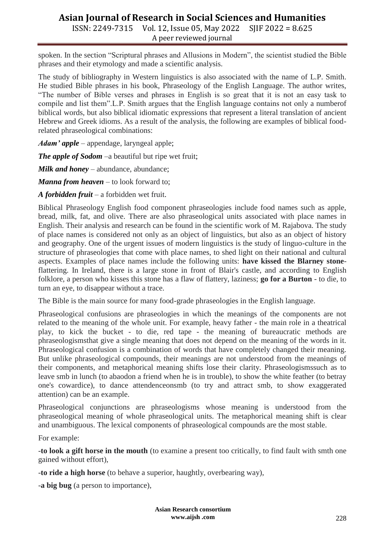ISSN: 2249-7315 Vol. 12, Issue 05, May 2022 SJIF 2022 = 8.625 A peer reviewed journal

spoken. In the section "Scriptural phrases and Allusions in Modern", the scientist studied the Bible phrases and their etymology and made a scientific analysis.

The study of bibliography in Western linguistics is also associated with the name of L.P. Smith. He studied Bible phrases in his book, Phraseology of the English Language. The author writes, "The number of Bible verses and phrases in English is so great that it is not an easy task to compile and list them".L.P. Smith argues that the English language contains not only a numberof biblical words, but also biblical idiomatic expressions that represent a literal translation of ancient Hebrew and Greek idioms. As a result of the analysis, the following are examples of biblical foodrelated phraseological combinations:

*Adam' apple* – appendage, laryngeal apple;

*The apple of Sodom* –a beautiful but ripe wet fruit;

*Milk and honey* – abundance, abundance;

*Manna from heaven* – to look forward to;

*A forbidden fruit* – a forbidden wet fruit.

Biblical Phraseology English food component phraseologies include food names such as apple, bread, milk, fat, and olive. There are also phraseological units associated with place names in English. Their analysis and research can be found in the scientific work of M. Rajabova. The study of place names is considered not only as an object of linguistics, but also as an object of history and geography. One of the urgent issues of modern linguistics is the study of linguo-culture in the structure of phraseologies that come with place names, to shed light on their national and cultural aspects. Examples of place names include the following units: **have kissed the Blarney stone**flattering. In Ireland, there is a large stone in front of Blair's castle, and according to English folklore, a person who kisses this stone has a flaw of flattery, laziness; **go for a Burton** - to die, to turn an eye, to disappear without a trace.

The Bible is the main source for many food-grade phraseologies in the English language.

Phraseological confusions are phraseologies in which the meanings of the components are not related to the meaning of the whole unit. For example, heavy father - the main role in a theatrical play, to kick the bucket - to die, red tape - the meaning of bureaucratic methods are phraseologismsthat give a single meaning that does not depend on the meaning of the words in it. Phraseological confusion is a combination of words that have completely changed their meaning. But unlike phraseological compounds, their meanings are not understood from the meanings of their components, and metaphorical meaning shifts lose their clarity. Phraseologismssuch as to leave smb in lunch (to abaodon a friend when he is in trouble), to show the white feather (to betray one's cowardice), to dance attendenceonsmb (to try and attract smb, to show exaggerated attention) can be an example.

Phraseological conjunctions are phraseologisms whose meaning is understood from the phraseological meaning of whole phraseological units. The metaphorical meaning shift is clear and unambiguous. The lexical components of phraseological compounds are the most stable.

For example:

-**to look a gift horse in the mouth** (to examine a present too critically, to find fault with smth one gained without effort),

-**to ride a high horse** (to behave a superior, haughtly, overbearing way),

-**a big bug** (a person to importance),